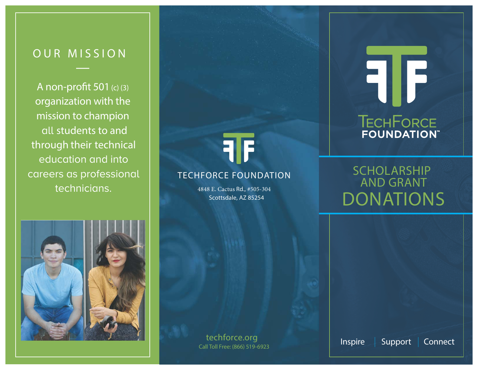## OUR MISSION

A non-profit 501 (c) (3) organization with the mission to champion all students to and through their technical education and into careers as professionaltechnicians.



### TECHFORCE FOUNDATION

4848 E. Cactus Rd., #505-304Scottsdale, AZ 85254

# FIF TECHFORCE

## SCHOLARSHIP AND GRANTDONATIONS



**Inspire | Support | Connect** Call Toll Free: (866) 519-6923